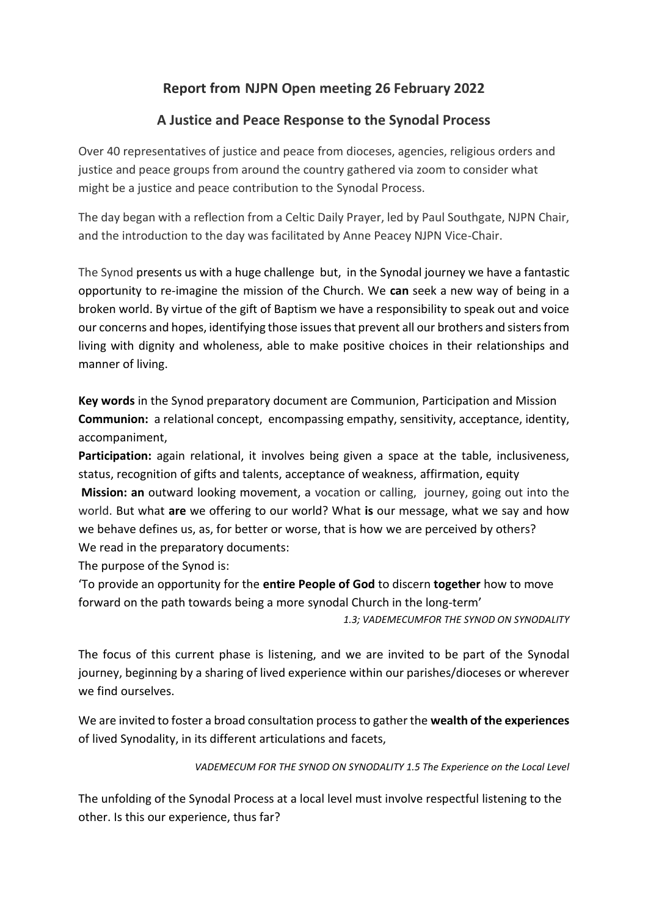## **Report from NJPN Open meeting 26 February 2022**

## **A Justice and Peace Response to the Synodal Process**

Over 40 representatives of justice and peace from dioceses, agencies, religious orders and justice and peace groups from around the country gathered via zoom to consider what might be a justice and peace contribution to the Synodal Process.

The day began with a reflection from a Celtic Daily Prayer, led by Paul Southgate, NJPN Chair, and the introduction to the day was facilitated by Anne Peacey NJPN Vice-Chair.

The Synod presents us with a huge challenge but, in the Synodal journey we have a fantastic opportunity to re-imagine the mission of the Church. We **can** seek a new way of being in a broken world. By virtue of the gift of Baptism we have a responsibility to speak out and voice our concerns and hopes, identifying those issues that prevent all our brothers and sisters from living with dignity and wholeness, able to make positive choices in their relationships and manner of living.

**Key words** in the Synod preparatory document are Communion, Participation and Mission **Communion:** a relational concept, encompassing empathy, sensitivity, acceptance, identity, accompaniment,

**Participation:** again relational, it involves being given a space at the table, inclusiveness, status, recognition of gifts and talents, acceptance of weakness, affirmation, equity

**Mission: an** outward looking movement, a vocation or calling, journey, going out into the world. But what **are** we offering to our world? What **is** our message, what we say and how we behave defines us, as, for better or worse, that is how we are perceived by others? We read in the preparatory documents:

The purpose of the Synod is:

'To provide an opportunity for the **entire People of God** to discern **together** how to move forward on the path towards being a more synodal Church in the long-term'

*1.3; VADEMECUMFOR THE SYNOD ON SYNODALITY*

The focus of this current phase is listening, and we are invited to be part of the Synodal journey, beginning by a sharing of lived experience within our parishes/dioceses or wherever we find ourselves.

We are invited to foster a broad consultation process to gather the **wealth of the experiences** of lived Synodality, in its different articulations and facets,

## *VADEMECUM FOR THE SYNOD ON SYNODALITY 1.5 The Experience on the Local Level*

The unfolding of the Synodal Process at a local level must involve respectful listening to the other. Is this our experience, thus far?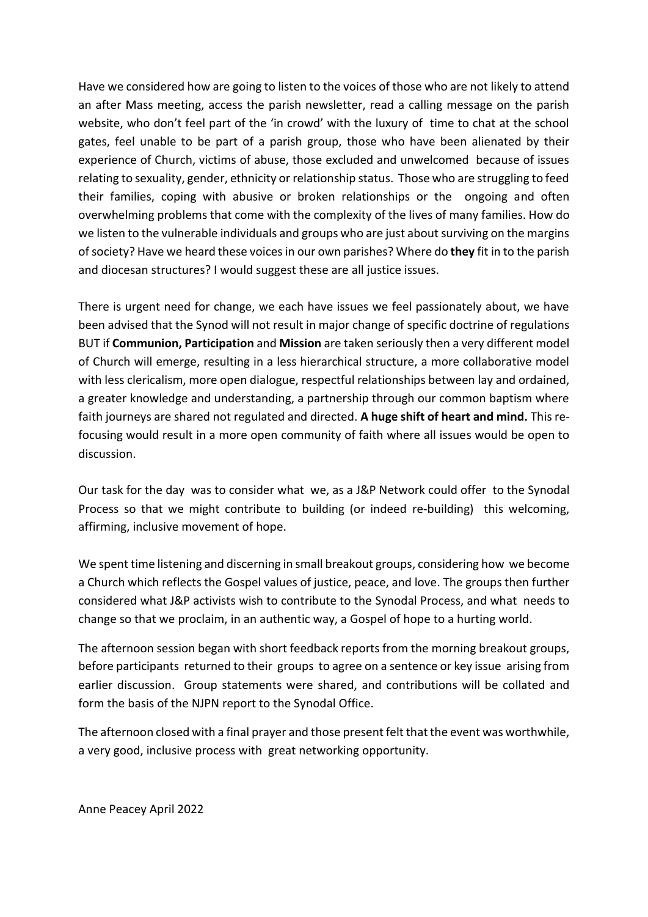Have we considered how are going to listen to the voices of those who are not likely to attend an after Mass meeting, access the parish newsletter, read a calling message on the parish website, who don't feel part of the 'in crowd' with the luxury of time to chat at the school gates, feel unable to be part of a parish group, those who have been alienated by their experience of Church, victims of abuse, those excluded and unwelcomed because of issues relating to sexuality, gender, ethnicity or relationship status. Those who are struggling to feed their families, coping with abusive or broken relationships or the ongoing and often overwhelming problems that come with the complexity of the lives of many families. How do we listen to the vulnerable individuals and groups who are just about surviving on the margins of society? Have we heard these voices in our own parishes? Where do **they** fit in to the parish and diocesan structures? I would suggest these are all justice issues.

There is urgent need for change, we each have issues we feel passionately about, we have been advised that the Synod will not result in major change of specific doctrine of regulations BUT if **Communion, Participation** and **Mission** are taken seriously then a very different model of Church will emerge, resulting in a less hierarchical structure, a more collaborative model with less clericalism, more open dialogue, respectful relationships between lay and ordained, a greater knowledge and understanding, a partnership through our common baptism where faith journeys are shared not regulated and directed. **A huge shift of heart and mind.** This refocusing would result in a more open community of faith where all issues would be open to discussion.

Our task for the day was to consider what we, as a J&P Network could offer to the Synodal Process so that we might contribute to building (or indeed re-building) this welcoming, affirming, inclusive movement of hope.

We spent time listening and discerning in small breakout groups, considering how we become a Church which reflects the Gospel values of justice, peace, and love. The groups then further considered what J&P activists wish to contribute to the Synodal Process, and what needs to change so that we proclaim, in an authentic way, a Gospel of hope to a hurting world.

The afternoon session began with short feedback reports from the morning breakout groups, before participants returned to their groups to agree on a sentence or key issue arising from earlier discussion. Group statements were shared, and contributions will be collated and form the basis of the NJPN report to the Synodal Office.

The afternoon closed with a final prayer and those present felt that the event was worthwhile, a very good, inclusive process with great networking opportunity.

Anne Peacey April 2022